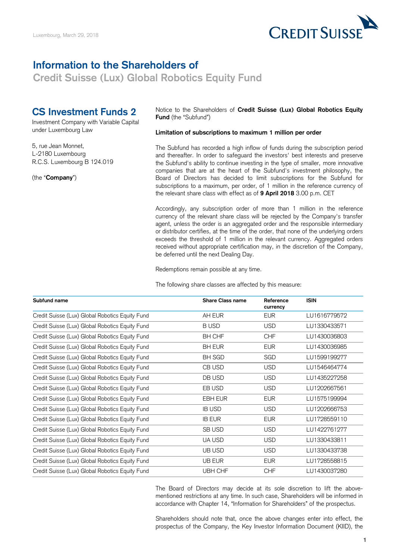

## **Information to the Shareholders of**

**Credit Suisse (Lux) Global Robotics Equity Fund** 

## **CS Investment Funds 2**

Investment Company with Variable Capital under Luxembourg Law

5, rue Jean Monnet, L-2180 Luxembourg R.C.S. Luxembourg B 124.019

(the "**Company**")

 Notice to the Shareholders of **Credit Suisse (Lux) Global Robotics Equity Fund** (the "Subfund")

## **Limitation of subscriptions to maximum 1 million per order**

 The Subfund has recorded a high inflow of funds during the subscription period and thereafter. In order to safeguard the investors' best interests and preserve the Subfund's ability to continue investing in the type of smaller, more innovative companies that are at the heart of the Subfund's investment philosophy, the Board of Directors has decided to limit subscriptions for the Subfund for subscriptions to a maximum, per order, of 1 million in the reference currency of the relevant share class with effect as of **9 April 2018** 3.00 p.m. CET

 Accordingly, any subscription order of more than 1 million in the reference currency of the relevant share class will be rejected by the Company's transfer agent, unless the order is an aggregated order and the responsible intermediary or distributor certifies, at the time of the order, that none of the underlying orders exceeds the threshold of 1 million in the relevant currency. Aggregated orders received without appropriate certification may, in the discretion of the Company, be deferred until the next Dealing Day.

Redemptions remain possible at any time.

The following share classes are affected by this measure:

| Subfund name                                    | <b>Share Class name</b> | Reference<br>currency | <b>ISIN</b>  |
|-------------------------------------------------|-------------------------|-----------------------|--------------|
| Credit Suisse (Lux) Global Robotics Equity Fund | AH EUR                  | <b>EUR</b>            | LU1616779572 |
| Credit Suisse (Lux) Global Robotics Equity Fund | <b>BUSD</b>             | <b>USD</b>            | LU1330433571 |
| Credit Suisse (Lux) Global Robotics Equity Fund | <b>BH CHF</b>           | <b>CHF</b>            | LU1430036803 |
| Credit Suisse (Lux) Global Robotics Equity Fund | <b>BH EUR</b>           | <b>EUR</b>            | LU1430036985 |
| Credit Suisse (Lux) Global Robotics Equity Fund | <b>BH SGD</b>           | SGD                   | LU1599199277 |
| Credit Suisse (Lux) Global Robotics Equity Fund | CB USD                  | <b>USD</b>            | LU1546464774 |
| Credit Suisse (Lux) Global Robotics Equity Fund | DB USD                  | <b>USD</b>            | LU1435227258 |
| Credit Suisse (Lux) Global Robotics Equity Fund | EB USD                  | <b>USD</b>            | LU1202667561 |
| Credit Suisse (Lux) Global Robotics Equity Fund | EBH EUR                 | <b>EUR</b>            | LU1575199994 |
| Credit Suisse (Lux) Global Robotics Equity Fund | <b>IB USD</b>           | <b>USD</b>            | LU1202666753 |
| Credit Suisse (Lux) Global Robotics Equity Fund | <b>IB EUR</b>           | <b>EUR</b>            | LU1728559110 |
| Credit Suisse (Lux) Global Robotics Equity Fund | SB USD                  | <b>USD</b>            | LU1422761277 |
| Credit Suisse (Lux) Global Robotics Equity Fund | UA USD                  | <b>USD</b>            | LU1330433811 |
| Credit Suisse (Lux) Global Robotics Equity Fund | UB USD                  | <b>USD</b>            | LU1330433738 |
| Credit Suisse (Lux) Global Robotics Equity Fund | UB EUR                  | <b>EUR</b>            | LU1728558815 |
| Credit Suisse (Lux) Global Robotics Equity Fund | UBH CHF                 | <b>CHF</b>            | LU1430037280 |

 The Board of Directors may decide at its sole discretion to lift the above- mentioned restrictions at any time. In such case, Shareholders will be informed in accordance with Chapter 14, "Information for Shareholders" of the prospectus.

 Shareholders should note that, once the above changes enter into effect, the prospectus of the Company, the Key Investor Information Document (KIID), the